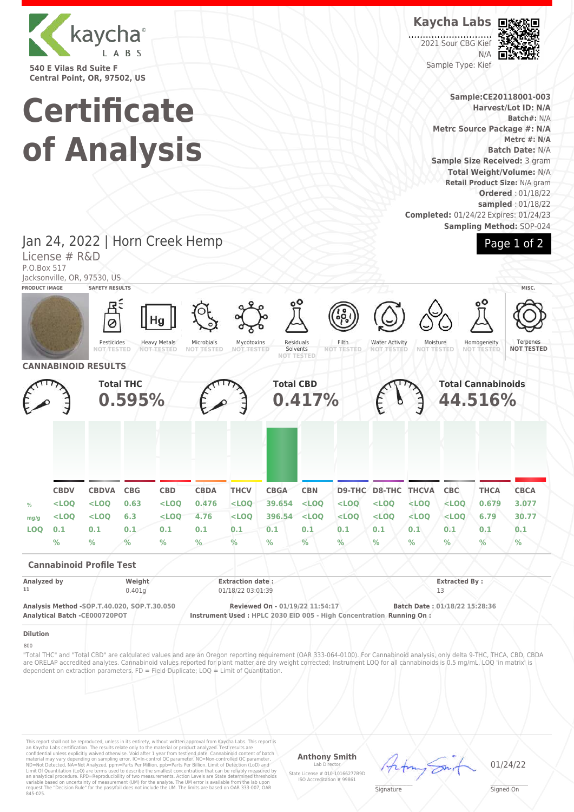

**540 E Vilas Rd Suite F Central Point, OR, 97502, US**

# **Certificate of Analysis**

**Kaycha Labs**

2021 Sour CBG Kief N/A Sample Type: Kief



**Sample:CE20118001-003 Harvest/Lot ID: N/A Batch#:** N/A **Metrc Source Package #: N/A Metrc #: N/A Batch Date:** N/A **Sample Size Received:** 3 gram **Total Weight/Volume:** N/A **Retail Product Size:** N/A gram **Ordered** : 01/18/22 **sampled** : 01/18/22 **Completed:** 01/24/22 Expires: 01/24/23 **Sampling Method:** SOP-024



Jan 24, 2022 | Horn Creek Hemp License # R&D P.O.Box 517

Jacksonville, OR, 97530, US

| <b>PRODUCT IMAGE</b> |             | JULNOVITVING, UN, STUUV, UU<br><b>SAFETY RESULTS</b>                         |                            |                                                |                                 |                                              |                                 |                             |                                                                     |                                            |                               |                               |                                      | MISC.                         |
|----------------------|-------------|------------------------------------------------------------------------------|----------------------------|------------------------------------------------|---------------------------------|----------------------------------------------|---------------------------------|-----------------------------|---------------------------------------------------------------------|--------------------------------------------|-------------------------------|-------------------------------|--------------------------------------|-------------------------------|
|                      |             | Pesticides<br><b>NOT/TESTED</b>                                              |                            | Hg<br><b>Heavy Metals</b><br><b>NOT-TESTED</b> | Microbials<br><b>NOT TESTED</b> | Mycotoxins<br><b>NOT TESTED</b>              |                                 | ٥O<br>Residuals<br>Solvents | န်ဝို့<br>Filth<br><b>NOT TESTED</b>                                | <b>Water Activity</b><br><b>NOT TESTED</b> | Moisture<br><b>NOT TESTED</b> |                               | Homogeneity<br><b>NOT TESTED</b>     | Terpenes<br><b>NOT TESTED</b> |
|                      |             | <b>CANNABINOID RESULTS</b>                                                   |                            |                                                |                                 |                                              |                                 | <b>NOT TESTED</b>           |                                                                     |                                            |                               |                               |                                      |                               |
|                      |             |                                                                              | <b>Total THC</b><br>0.595% |                                                |                                 |                                              | <b>Total CBD</b>                | 0.417%                      |                                                                     |                                            |                               |                               | <b>Total Cannabinoids</b><br>44.516% |                               |
|                      |             |                                                                              |                            |                                                |                                 |                                              |                                 |                             |                                                                     |                                            |                               |                               |                                      |                               |
|                      | <b>CBDV</b> | <b>CBDVA</b>                                                                 | CBG                        | <b>CBD</b>                                     | <b>CBDA</b>                     | <b>THCV</b>                                  | <b>CBGA</b>                     | <b>CBN</b>                  |                                                                     | <b>D9-THC D8-THC THCVA</b>                 |                               | <b>CBC</b>                    | <b>THCA</b>                          | <b>CBCA</b>                   |
| $\%$                 | $<$ LOQ     | $<$ LOQ                                                                      | 0.63                       | $<$ LOQ                                        | 0.476                           | $<$ LOQ                                      | 39.654                          | $<$ LOQ                     | $<$ LOO                                                             | $<$ LOQ                                    | $<$ LOQ                       | $<$ LOQ                       | 0.679                                | 3.077                         |
| mg/g                 | $<$ LOQ     | $<$ LOQ                                                                      | 6.3                        | $<$ LOO                                        | 4.76                            | $<$ LOO                                      | 396.54                          | $<$ LOO                     | $<$ LOQ                                                             | $<$ LOO                                    | $<$ LOO                       | $<$ LOQ                       | 6.79                                 | 30.77                         |
| <b>LOO</b>           | 0.1         | 0.1                                                                          | 0.1                        | 0.1                                            | 0.1                             | 0.1                                          | 0.1                             | 0.1                         | 0.1                                                                 | 0.1                                        | 0.1                           | 0.1                           | 0.1                                  | 0.1                           |
|                      | $\%$        | $\%$                                                                         | $\%$                       | $\frac{9}{6}$                                  | %                               | $\%$                                         | $\%$                            | $\frac{0}{2}$               | %                                                                   | $\%$                                       | $\%$                          | %                             | $\frac{9}{6}$                        | $\%$                          |
|                      |             | <b>Cannabinoid Profile Test</b>                                              |                            |                                                |                                 |                                              |                                 |                             |                                                                     |                                            |                               |                               |                                      |                               |
| Analyzed by<br>11    |             |                                                                              | Weight<br>0.401g           |                                                |                                 | <b>Extraction date:</b><br>01/18/22 03:01:39 |                                 |                             |                                                                     |                                            |                               | <b>Extracted By:</b><br>13    |                                      |                               |
|                      |             | Analysis Method -SOP.T.40.020, SOP.T.30.050<br>Analytical Batch -CE000720POT |                            |                                                |                                 |                                              | Reviewed On - 01/19/22 11:54:17 |                             | Instrument Used: HPLC 2030 EID 005 - High Concentration Running On: |                                            |                               | Batch Date: 01/18/22 15:28:36 |                                      |                               |
| <b>Dilution</b>      |             |                                                                              |                            |                                                |                                 |                                              |                                 |                             |                                                                     |                                            |                               |                               |                                      |                               |

## $800$

"Total THC" and "Total CBD" are calculated values and are an Oregon reporting requirement (OAR 333-064-0100). For Cannabinoid analysis, only delta 9-THC, THCA, CBD, CBDA are ORELAP accredited analytes. Cannabinoid values reported for plant matter are dry weight corrected; Instrument LOQ for all cannabinoids is 0.5 mg/mL, LOQ 'in matrix' is dependent on extraction parameters. FD = Field Duplicate; LOQ = Limit of Quantitation.

This report shall not be reproduced, unless in its entirety, without written approval from Kaycha Labs. This report is<br>an Kaycha Labs certification. The results relate only to the material or product analyzed. Test result

# **Anthony Smith**

Lab Director State License # 010-10166277B9D ISO Accreditation # 99861 01/24/22

 $\mathscr{L}\setminus\mathscr{L}$ **Signature** 

\_\_\_\_\_\_\_\_\_\_\_\_\_\_\_\_\_\_\_ Signed On